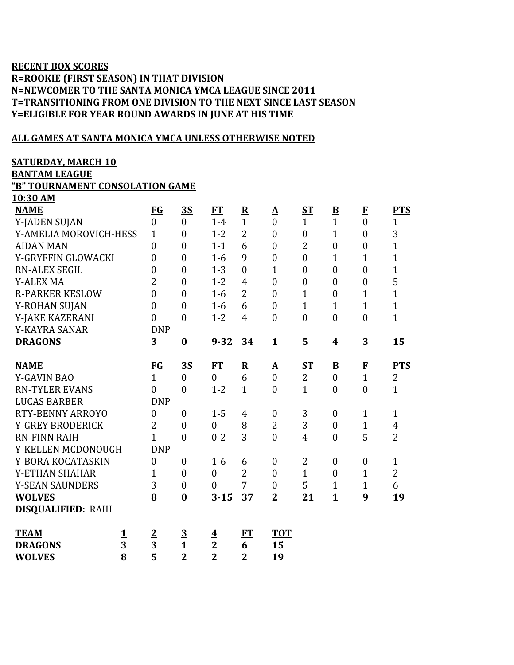## **RECENT BOX SCORES R=ROOKIE (FIRST SEASON) IN THAT DIVISION N=NEWCOMER TO THE SANTA MONICA YMCA LEAGUE SINCE 2011 T=TRANSITIONING FROM ONE DIVISION TO THE NEXT SINCE LAST SEASON Y=ELIGIBLE FOR YEAR ROUND AWARDS IN JUNE AT HIS TIME**

## **ALL GAMES AT SANTA MONICA YMCA UNLESS OTHERWISE NOTED**

### **SATURDAY, MARCH 10**

**BANTAM LEAGUE**

**10:30 AM**

# **"B" TOURNAMENT CONSOLATION GAME**

| <b>NAME</b>                | <b>FG</b>        | <u>3S</u>               | <b>FT</b>               | $\overline{\mathbf{R}}$ | ${\bf A}$        | ST               | $\underline{\mathbf{B}}$ | $\bf{E}$         | <b>PTS</b>     |
|----------------------------|------------------|-------------------------|-------------------------|-------------------------|------------------|------------------|--------------------------|------------------|----------------|
| Y-JADEN SUJAN              | $\boldsymbol{0}$ | $\overline{0}$          | $1-4$                   | $\mathbf{1}$            | $\overline{0}$   | $\mathbf{1}$     | $\overline{1}$           | $\mathbf{0}$     | $\mathbf{1}$   |
| Y-AMELIA MOROVICH-HESS     | $\mathbf{1}$     | $\boldsymbol{0}$        | $1 - 2$                 | $\overline{2}$          | $\mathbf{0}$     | $\boldsymbol{0}$ | $\mathbf{1}$             | $\overline{0}$   | 3              |
| <b>AIDAN MAN</b>           | $\boldsymbol{0}$ | $\boldsymbol{0}$        | $1 - 1$                 | 6                       | $\boldsymbol{0}$ | $\overline{2}$   | $\boldsymbol{0}$         | $\boldsymbol{0}$ | $\overline{1}$ |
| Y-GRYFFIN GLOWACKI         | $\boldsymbol{0}$ | $\boldsymbol{0}$        | $1-6$                   | 9                       | $\boldsymbol{0}$ | $\boldsymbol{0}$ | $\mathbf{1}$             | $\mathbf{1}$     | $\mathbf{1}$   |
| <b>RN-ALEX SEGIL</b>       | $\theta$         | $\overline{0}$          | $1 - 3$                 | $\overline{0}$          | $\mathbf{1}$     | $\overline{0}$   | $\boldsymbol{0}$         | $\overline{0}$   | $\overline{1}$ |
| <b>Y-ALEX MA</b>           | $\overline{2}$   | $\boldsymbol{0}$        | $1 - 2$                 | 4                       | $\boldsymbol{0}$ | $\boldsymbol{0}$ | $\boldsymbol{0}$         | $\boldsymbol{0}$ | 5              |
| <b>R-PARKER KESLOW</b>     | $\overline{0}$   | $\overline{0}$          | $1-6$                   | $\overline{2}$          | $\mathbf{0}$     | $\mathbf{1}$     | $\boldsymbol{0}$         | $\mathbf{1}$     | $\overline{1}$ |
| Y-ROHAN SUJAN              | $\boldsymbol{0}$ | $\boldsymbol{0}$        | $1-6$                   | 6                       | $\boldsymbol{0}$ | $\mathbf{1}$     | $\mathbf{1}$             | $\mathbf{1}$     | $\mathbf{1}$   |
| Y-JAKE KAZERANI            | $\boldsymbol{0}$ | $\boldsymbol{0}$        | $1 - 2$                 | 4                       | $\boldsymbol{0}$ | $\boldsymbol{0}$ | $\boldsymbol{0}$         | $\boldsymbol{0}$ | $\mathbf{1}$   |
| Y-KAYRA SANAR              | <b>DNP</b>       |                         |                         |                         |                  |                  |                          |                  |                |
| <b>DRAGONS</b>             | 3                | $\bf{0}$                | $9 - 32$                | 34                      | $\mathbf{1}$     | 5                | 4                        | 3                | 15             |
|                            |                  |                         |                         |                         |                  |                  |                          |                  |                |
| <b>NAME</b>                | $FG$             | <u>3S</u>               | FT                      | $\overline{\mathbf{R}}$ | <u>A</u>         | $S_{\rm T}$      | $\overline{\mathbf{B}}$  | $\bf{F}$         | <b>PTS</b>     |
| <b>Y-GAVIN BAO</b>         | $\overline{1}$   | $\overline{0}$          | $\overline{0}$          | 6                       | $\overline{0}$   | $\overline{2}$   | $\overline{0}$           | $\overline{1}$   | $\overline{2}$ |
| <b>RN-TYLER EVANS</b>      | $\overline{0}$   | $\overline{0}$          | $1 - 2$                 | $\mathbf{1}$            | $\theta$         | $\mathbf{1}$     | $\overline{0}$           | $\overline{0}$   | $\mathbf{1}$   |
| <b>LUCAS BARBER</b>        | <b>DNP</b>       |                         |                         |                         |                  |                  |                          |                  |                |
| RTY-BENNY ARROYO           | $\boldsymbol{0}$ | $\boldsymbol{0}$        | $1 - 5$                 | $\overline{4}$          | $\boldsymbol{0}$ | 3                | $\boldsymbol{0}$         | $\mathbf{1}$     | $\mathbf{1}$   |
| <b>Y-GREY BRODERICK</b>    | $\overline{2}$   | $\mathbf{0}$            | $\overline{0}$          | 8                       | $\overline{2}$   | 3                | $\boldsymbol{0}$         | $\mathbf{1}$     | $\overline{4}$ |
| <b>RN-FINN RAIH</b>        | $\overline{1}$   | $\boldsymbol{0}$        | $0 - 2$                 | 3                       | $\overline{0}$   | $\overline{4}$   | $\boldsymbol{0}$         | 5                | $\overline{2}$ |
| Y-KELLEN MCDONOUGH         | <b>DNP</b>       |                         |                         |                         |                  |                  |                          |                  |                |
| Y-BORA KOCATASKIN          | $\overline{0}$   | $\boldsymbol{0}$        | $1-6$                   | 6                       | $\boldsymbol{0}$ | $\overline{2}$   | $\boldsymbol{0}$         | $\boldsymbol{0}$ | $\mathbf{1}$   |
| Y-ETHAN SHAHAR             | 1                | $\boldsymbol{0}$        | $\mathbf{0}$            | $\overline{2}$          | $\boldsymbol{0}$ | $\mathbf{1}$     | $\boldsymbol{0}$         | $\mathbf{1}$     | $\overline{2}$ |
| <b>Y-SEAN SAUNDERS</b>     | 3                | $\boldsymbol{0}$        | $\overline{0}$          | 7                       | $\boldsymbol{0}$ | 5                | $\mathbf{1}$             | $\mathbf{1}$     | 6              |
| <b>WOLVES</b>              | 8                | $\bf{0}$                | $3 - 15$                | 37                      | $\overline{2}$   | 21               | $\mathbf{1}$             | 9                | 19             |
| <b>DISQUALIFIED: RAIH</b>  |                  |                         |                         |                         |                  |                  |                          |                  |                |
|                            |                  |                         |                         |                         |                  |                  |                          |                  |                |
| <b>TEAM</b><br>$\mathbf 1$ | $\overline{2}$   | $\overline{\mathbf{3}}$ | $\overline{\textbf{4}}$ | <b>FT</b>               | <b>TOT</b>       |                  |                          |                  |                |
| 3<br><b>DRAGONS</b>        | $\overline{3}$   | $\mathbf{1}$            | $\overline{2}$          | 6                       | 15               |                  |                          |                  |                |
| 8<br><b>WOLVES</b>         | 5                | $\overline{2}$          | $\overline{2}$          | $\overline{2}$          | 19               |                  |                          |                  |                |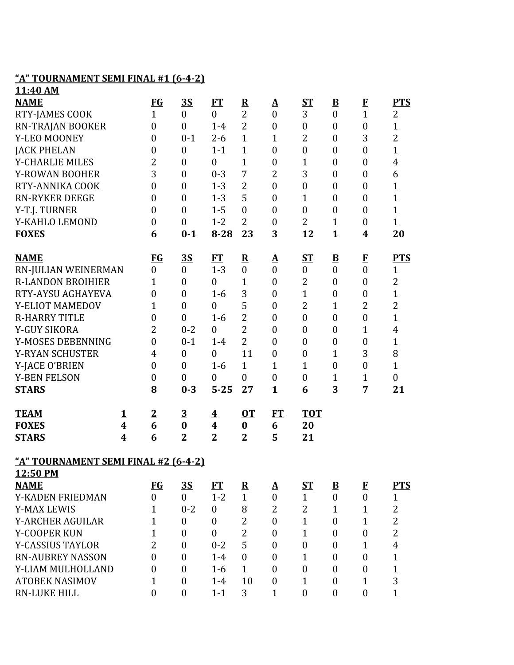## **"A" TOURNAMENT SEMI FINAL #1 (6-4-2)**

| 11:40 AM                             |          |                  |                  |                         |                         |                   |                  |                          |                  |                  |
|--------------------------------------|----------|------------------|------------------|-------------------------|-------------------------|-------------------|------------------|--------------------------|------------------|------------------|
| <b>NAME</b>                          |          | <b>FG</b>        | <u>3S</u>        | <b>FT</b>               | $\overline{\mathbf{R}}$ | <u>A</u>          | ST               | $\overline{\mathbf{B}}$  | $\mathbf{F}$     | <b>PTS</b>       |
| RTY-JAMES COOK                       |          | $\mathbf{1}$     | $\boldsymbol{0}$ | $\boldsymbol{0}$        | $\overline{2}$          | $\boldsymbol{0}$  | 3                | $\boldsymbol{0}$         | $\mathbf{1}$     | $\overline{2}$   |
| RN-TRAJAN BOOKER                     |          | $\boldsymbol{0}$ | $\boldsymbol{0}$ | $1-4$                   | $\overline{2}$          | $\boldsymbol{0}$  | $\boldsymbol{0}$ | $\boldsymbol{0}$         | $\boldsymbol{0}$ | $\mathbf{1}$     |
| Y-LEO MOONEY                         |          | $\boldsymbol{0}$ | $0 - 1$          | $2 - 6$                 | $\mathbf{1}$            | $\mathbf{1}$      | 2                | $\boldsymbol{0}$         | 3                | $\overline{2}$   |
| <b>JACK PHELAN</b>                   |          | $\boldsymbol{0}$ | $\boldsymbol{0}$ | $1 - 1$                 | $\mathbf{1}$            | $\boldsymbol{0}$  | $\boldsymbol{0}$ | $\boldsymbol{0}$         | $\boldsymbol{0}$ | $\mathbf{1}$     |
| <b>Y-CHARLIE MILES</b>               |          | $\overline{2}$   | $\overline{0}$   | $\boldsymbol{0}$        | $\mathbf{1}$            | $\boldsymbol{0}$  | $\mathbf{1}$     | $\boldsymbol{0}$         | $\boldsymbol{0}$ | $\overline{4}$   |
| Y-ROWAN BOOHER                       |          | 3                | $\overline{0}$   | $0 - 3$                 | 7                       | 2                 | 3                | $\boldsymbol{0}$         | $\boldsymbol{0}$ | 6                |
| RTY-ANNIKA COOK                      |          | $\boldsymbol{0}$ | $\boldsymbol{0}$ | $1 - 3$                 | $\overline{2}$          | $\boldsymbol{0}$  | $\boldsymbol{0}$ | $\boldsymbol{0}$         | $\boldsymbol{0}$ | $\mathbf{1}$     |
| <b>RN-RYKER DEEGE</b>                |          | $\boldsymbol{0}$ | $\boldsymbol{0}$ | $1 - 3$                 | 5                       | $\boldsymbol{0}$  | $\mathbf{1}$     | $\boldsymbol{0}$         | $\boldsymbol{0}$ | $\mathbf{1}$     |
| Y-T.J. TURNER                        |          | $\boldsymbol{0}$ | $\overline{0}$   | $1 - 5$                 | $\overline{0}$          | $\boldsymbol{0}$  | $\boldsymbol{0}$ | $\boldsymbol{0}$         | $\boldsymbol{0}$ | $\mathbf{1}$     |
| Y-KAHLO LEMOND                       |          | $\boldsymbol{0}$ | $\boldsymbol{0}$ | $1 - 2$                 | $\overline{2}$          | $\boldsymbol{0}$  | $\overline{2}$   | $\mathbf{1}$             | $\boldsymbol{0}$ | $\mathbf{1}$     |
| <b>FOXES</b>                         |          | 6                | $0 - 1$          | $8 - 28$                | 23                      | 3                 | 12               | $\mathbf{1}$             | 4                | 20               |
| <b>NAME</b>                          |          | $FG$             | <u>35</u>        | ET                      | $\overline{\mathbf{R}}$ | <u>A</u>          | $S_{\text{I}}$   | $\underline{\mathbf{B}}$ | $\mathbf{F}$     | <b>PTS</b>       |
| RN-JULIAN WEINERMAN                  |          | $\boldsymbol{0}$ | $\boldsymbol{0}$ | $1 - 3$                 | $\overline{0}$          | $\boldsymbol{0}$  | $\mathbf{0}$     | $\boldsymbol{0}$         | $\boldsymbol{0}$ | $\mathbf{1}$     |
| <b>R-LANDON BROIHIER</b>             |          | $\mathbf{1}$     | $\boldsymbol{0}$ | $\boldsymbol{0}$        | $\mathbf{1}$            | $\boldsymbol{0}$  | $\overline{2}$   | $\boldsymbol{0}$         | $\boldsymbol{0}$ | $\overline{2}$   |
| RTY-AYSU AGHAYEVA                    |          | $\boldsymbol{0}$ | $\overline{0}$   | $1-6$                   | 3                       | $\boldsymbol{0}$  | $\mathbf{1}$     | $\boldsymbol{0}$         | $\boldsymbol{0}$ | $\mathbf{1}$     |
| Y-ELIOT MAMEDOV                      |          | $\mathbf{1}$     | $\boldsymbol{0}$ | $\boldsymbol{0}$        | 5                       | $\boldsymbol{0}$  | $\overline{2}$   | 1                        | $\overline{2}$   | $\overline{2}$   |
| <b>R-HARRY TITLE</b>                 |          | $\boldsymbol{0}$ | $\boldsymbol{0}$ | $1-6$                   | $\overline{2}$          | $\boldsymbol{0}$  | $\boldsymbol{0}$ | $\boldsymbol{0}$         | $\boldsymbol{0}$ | $\mathbf{1}$     |
| Y-GUY SIKORA                         |          | $\overline{2}$   | $0 - 2$          | $\boldsymbol{0}$        | $\overline{2}$          | $\boldsymbol{0}$  | $\boldsymbol{0}$ | $\boldsymbol{0}$         | $\mathbf{1}$     | $\overline{4}$   |
| Y-MOSES DEBENNING                    |          | $\boldsymbol{0}$ | $0 - 1$          | $1-4$                   | $\overline{2}$          | $\boldsymbol{0}$  | $\boldsymbol{0}$ | $\boldsymbol{0}$         | $\boldsymbol{0}$ | $\mathbf{1}$     |
| Y-RYAN SCHUSTER                      |          | $\overline{4}$   | $\overline{0}$   | $\boldsymbol{0}$        | 11                      | $\boldsymbol{0}$  | $\boldsymbol{0}$ | $\mathbf{1}$             | 3                | 8                |
| Y-JACE O'BRIEN                       |          | $\boldsymbol{0}$ | $\overline{0}$   | $1 - 6$                 | $\mathbf{1}$            | $\mathbf{1}$      | $\mathbf{1}$     | $\boldsymbol{0}$         | $\boldsymbol{0}$ | $\mathbf{1}$     |
| <b>Y-BEN FELSON</b>                  |          | $\boldsymbol{0}$ | $\boldsymbol{0}$ | $\boldsymbol{0}$        | $\mathbf{0}$            | $\boldsymbol{0}$  | $\boldsymbol{0}$ | $\mathbf{1}$             | $\mathbf{1}$     | $\boldsymbol{0}$ |
| <b>STARS</b>                         |          | 8                | $0 - 3$          | $5 - 25$                | 27                      | $\mathbf{1}$      | 6                | 3                        | 7                | 21               |
| <b>TEAM</b>                          | <u>1</u> | $\overline{2}$   | $\overline{3}$   | $\overline{\mathbf{4}}$ | $OT$                    | FT                | <b>TOT</b>       |                          |                  |                  |
| <b>FOXES</b>                         | 4        | 6                | $\bf{0}$         | $\boldsymbol{4}$        | $\boldsymbol{0}$        | 6                 | 20               |                          |                  |                  |
| <b>STARS</b>                         | 4        | 6                | $\overline{2}$   | $\overline{2}$          | $\overline{2}$          | 5                 | 21               |                          |                  |                  |
| "A" TOURNAMENT SEMI FINAL #2 (6-4-2) |          |                  |                  |                         |                         |                   |                  |                          |                  |                  |
| 12:50 PM                             |          |                  |                  |                         |                         |                   |                  |                          |                  |                  |
| <b>NAME</b>                          |          | <b>FG</b>        | 3S               | <b>FT</b>               | ${\bf R}$               | $\mathbf{\Delta}$ | $ST$             | $\overline{\mathbf{B}}$  | $\bf{F}$         | <b>PTS</b>       |
| Y-KADEN FRIEDMAN                     |          | $\overline{0}$   | $\mathbf{0}$     | $1 - 2$                 | $\mathbf{1}$            | $\overline{0}$    | $\mathbf{1}$     | $\boldsymbol{0}$         | $\boldsymbol{0}$ | $\mathbf{1}$     |
| <b>Y-MAX LEWIS</b>                   |          | 1                | $0 - 2$          | $\boldsymbol{0}$        | 8                       | 2                 | 2                | $\mathbf{1}$             | $\mathbf{1}$     | $\overline{2}$   |
| <b>Y-ARCHER AGUILAR</b>              |          | $\mathbf{1}$     | $\boldsymbol{0}$ | $\mathbf{0}$            | $\overline{2}$          | $\boldsymbol{0}$  | $\mathbf{1}$     | $\boldsymbol{0}$         | $\mathbf{1}$     | $\overline{2}$   |
| Y-COOPER KUN                         |          | 1                | $\overline{0}$   | $\mathbf{0}$            | $\overline{2}$          | $\boldsymbol{0}$  | $\mathbf{1}$     | $\boldsymbol{0}$         | $\boldsymbol{0}$ | $\overline{2}$   |
| <b>Y-CASSIUS TAYLOR</b>              |          | $\overline{2}$   | $\overline{0}$   | $0 - 2$                 | 5                       | $\boldsymbol{0}$  | $\boldsymbol{0}$ | $\boldsymbol{0}$         | $\mathbf{1}$     | $\overline{4}$   |
| <b>RN-AUBREY NASSON</b>              |          | $\mathbf{0}$     | $\overline{0}$   | $1 - 4$                 | $\mathbf{0}$            | $\boldsymbol{0}$  | $\mathbf{1}$     | $\boldsymbol{0}$         | $\boldsymbol{0}$ | $\mathbf{1}$     |
| Y-LIAM MULHOLLAND                    |          | $\boldsymbol{0}$ | $\boldsymbol{0}$ | $1-6$                   | $\mathbf{1}$            | $\boldsymbol{0}$  | $\boldsymbol{0}$ | $\boldsymbol{0}$         | $\boldsymbol{0}$ | $\mathbf{1}$     |
| <b>ATOBEK NASIMOV</b>                |          | 1                | $\boldsymbol{0}$ | $1-4$                   | 10                      | $\boldsymbol{0}$  | $\mathbf{1}$     | $\boldsymbol{0}$         | $\mathbf{1}$     | 3                |
| <b>RN-LUKE HILL</b>                  |          | $\boldsymbol{0}$ | $\boldsymbol{0}$ | $1 - 1$                 | 3                       | $\mathbf{1}$      | $\boldsymbol{0}$ | $\boldsymbol{0}$         | $\boldsymbol{0}$ | $\mathbf{1}$     |
|                                      |          |                  |                  |                         |                         |                   |                  |                          |                  |                  |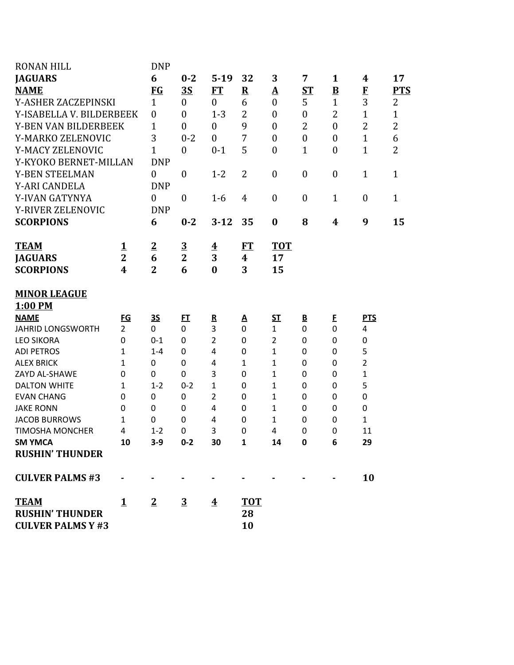| <b>RONAN HILL</b>                        |                  | <b>DNP</b>             |                         |                         |                  |                              |                          |                          |                                |                |
|------------------------------------------|------------------|------------------------|-------------------------|-------------------------|------------------|------------------------------|--------------------------|--------------------------|--------------------------------|----------------|
| <b>JAGUARS</b>                           |                  | 6                      | $0 - 2$                 | $5-19$                  | 32               | 3                            | 7                        | $\mathbf{1}$             | 4                              | 17             |
| <b>NAME</b>                              |                  | <b>FG</b>              | <u>3S</u>               | ET                      | ${\bf R}$        | <u>A</u>                     | $S_{\rm T}$              | $\underline{\mathbf{B}}$ | $\mathbf{F}$                   | <b>PTS</b>     |
| Y-ASHER ZACZEPINSKI                      |                  | $\mathbf{1}$           | $\boldsymbol{0}$        | $\boldsymbol{0}$        | 6                | $\boldsymbol{0}$             | 5                        | $\mathbf{1}$             | 3                              | $\overline{2}$ |
| Y-ISABELLA V. BILDERBEEK                 |                  | $\boldsymbol{0}$       | $\mathbf{0}$            | $1 - 3$                 | 2                | $\overline{0}$               | $\boldsymbol{0}$         | 2                        | $\mathbf{1}$                   | $\overline{1}$ |
| Y-BEN VAN BILDERBEEK                     |                  | $\mathbf{1}$           | $\boldsymbol{0}$        | $\boldsymbol{0}$        | 9<br>7           | $\boldsymbol{0}$             | $\overline{2}$           | $\boldsymbol{0}$         | $\overline{2}$<br>$\mathbf{1}$ | $\overline{c}$ |
| Y-MARKO ZELENOVIC                        |                  | 3                      | $0 - 2$                 | $\overline{0}$          |                  | $\boldsymbol{0}$             | $\boldsymbol{0}$         | $\boldsymbol{0}$         |                                | 6              |
| Y-MACY ZELENOVIC                         |                  | 1                      | $\boldsymbol{0}$        | $0 - 1$                 | 5                | $\boldsymbol{0}$             | $\mathbf{1}$             | $\boldsymbol{0}$         | $\mathbf{1}$                   | $\overline{2}$ |
| Y-KYOKO BERNET-MILLAN                    |                  | <b>DNP</b>             |                         |                         |                  |                              |                          |                          |                                |                |
| Y-BEN STEELMAN                           |                  | $\boldsymbol{0}$       | $\boldsymbol{0}$        | $1 - 2$                 | 2                | $\boldsymbol{0}$             | $\boldsymbol{0}$         | $\boldsymbol{0}$         | $\mathbf{1}$                   | $\mathbf{1}$   |
| Y-ARI CANDELA                            |                  | <b>DNP</b>             |                         |                         |                  |                              |                          |                          |                                |                |
| Y-IVAN GATYNYA                           |                  | $\boldsymbol{0}$       | $\boldsymbol{0}$        | $1 - 6$                 | $\overline{4}$   | $\boldsymbol{0}$             | $\boldsymbol{0}$         | $\mathbf{1}$             | $\boldsymbol{0}$               | $\mathbf{1}$   |
| Y-RIVER ZELENOVIC                        |                  | <b>DNP</b>             |                         |                         |                  |                              |                          |                          |                                |                |
| <b>SCORPIONS</b>                         |                  | 6                      | $0 - 2$                 | $3 - 12$                | 35               | $\boldsymbol{0}$             | 8                        | 4                        | 9                              | 15             |
| <b>TEAM</b>                              | <u>1</u>         | $\overline{2}$         | $\overline{\mathbf{3}}$ | $\overline{\textbf{4}}$ | ET               | <b>TOT</b>                   |                          |                          |                                |                |
| <b>JAGUARS</b>                           | $\overline{2}$   | 6                      | $\overline{2}$          | 3                       | 4                | 17                           |                          |                          |                                |                |
| <b>SCORPIONS</b>                         | $\boldsymbol{4}$ | $\overline{2}$         | 6                       | $\bf{0}$                | 3                | 15                           |                          |                          |                                |                |
|                                          |                  |                        |                         |                         |                  |                              |                          |                          |                                |                |
| <b>MINOR LEAGUE</b>                      |                  |                        |                         |                         |                  |                              |                          |                          |                                |                |
| 1:00 PM                                  |                  |                        |                         |                         |                  |                              |                          |                          |                                |                |
| <b>NAME</b>                              | $\underline{FG}$ | <u>35</u>              | $E$ <sup>T</sup>        | ${\bf R}$               | <u>А</u>         | $S$                          | $\underline{\mathbf{B}}$ | E                        | <b>PTS</b>                     |                |
| <b>JAHRID LONGSWORTH</b>                 | $\overline{2}$   | $\overline{0}$         | 0                       | 3                       | $\mathbf 0$      | $\mathbf{1}$                 | 0                        | $\mathbf 0$              | 4                              |                |
| <b>LEO SIKORA</b>                        | 0                | $0 - 1$                | 0                       | $\overline{2}$          | $\mathbf 0$      | $\overline{2}$               | $\Omega$                 | 0                        | 0                              |                |
| <b>ADI PETROS</b>                        | 1                | $1 - 4$                | 0                       | 4                       | 0                | $\mathbf{1}$                 | $\Omega$                 | 0                        | 5                              |                |
| <b>ALEX BRICK</b>                        | 1                | $\mathbf 0$            | 0                       | 4                       | 1                | 1                            | 0                        | 0                        | $\overline{\mathbf{c}}$        |                |
| ZAYD AL-SHAWE                            | 0                | 0                      | 0                       | 3                       | $\mathbf 0$      | $\mathbf{1}$                 | 0                        | 0                        | $\mathbf 1$                    |                |
| <b>DALTON WHITE</b><br><b>EVAN CHANG</b> | 1<br>0           | $1 - 2$<br>$\mathbf 0$ | $0 - 2$<br>$\mathbf 0$  | 1<br>$\overline{2}$     | 0<br>0           | $\mathbf{1}$<br>$\mathbf{1}$ | 0<br>0                   | 0<br>0                   | 5<br>$\mathbf 0$               |                |
| <b>JAKE RONN</b>                         | 0                | $\mathbf 0$            | 0                       | 4                       | 0                | 1                            | 0                        | 0                        | $\mathbf 0$                    |                |
| <b>JACOB BURROWS</b>                     | 1                | $\mathbf 0$            | 0                       | 4                       | 0                | $\mathbf{1}$                 | 0                        | 0                        | $\mathbf{1}$                   |                |
| <b>TIMOSHA MONCHER</b>                   | 4                | $1 - 2$                | 0                       | 3                       | 0                | 4                            | 0                        | 0                        | 11                             |                |
| <b>SM YMCA</b>                           | 10               | $3-9$                  | $0 - 2$                 | 30                      | $\mathbf{1}$     | 14                           | 0                        | 6                        | 29                             |                |
| <b>RUSHIN' THUNDER</b>                   |                  |                        |                         |                         |                  |                              |                          |                          |                                |                |
|                                          |                  |                        |                         |                         |                  |                              |                          |                          |                                |                |
| <b>CULVER PALMS #3</b>                   |                  |                        |                         |                         |                  |                              |                          |                          | 10                             |                |
| <b>TEAM</b><br><b>RUSHIN' THUNDER</b>    | $\mathbf{1}$     | $\overline{2}$         | $\overline{3}$          | $\overline{\textbf{4}}$ | <b>TOT</b><br>28 |                              |                          |                          |                                |                |
| <b>CULVER PALMS Y #3</b>                 |                  |                        |                         |                         | 10               |                              |                          |                          |                                |                |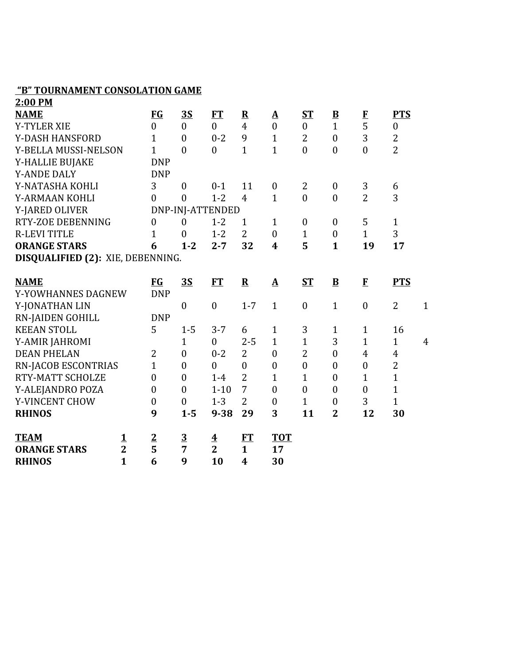#### **"B" TOURNAMENT CONSOLATION GAME**

| 2:00 PM                           |                         |                |                  |                         |                  |                       |                  |                          |                  |                  |                |
|-----------------------------------|-------------------------|----------------|------------------|-------------------------|------------------|-----------------------|------------------|--------------------------|------------------|------------------|----------------|
| <b>NAME</b>                       |                         | FG             | <u>3S</u>        | FT                      | ${\bf R}$        | ${\underline{\bf A}}$ | $S_{\rm T}$      | $\underline{\mathbf{B}}$ | $\bf{F}$         | <b>PTS</b>       |                |
| <b>Y-TYLER XIE</b>                |                         | $\overline{0}$ | $\boldsymbol{0}$ | $\overline{0}$          | 4                | $\boldsymbol{0}$      | $\boldsymbol{0}$ | $\mathbf{1}$             | 5                | $\boldsymbol{0}$ |                |
| Y-DASH HANSFORD                   |                         | 1              | $\boldsymbol{0}$ | $0 - 2$                 | 9                | $\mathbf{1}$          | $\overline{2}$   | $\boldsymbol{0}$         | 3                | $\overline{c}$   |                |
| Y-BELLA MUSSI-NELSON              |                         | $\mathbf{1}$   | $\theta$         | $\mathbf{0}$            | $\mathbf{1}$     | $\mathbf{1}$          | $\overline{0}$   | $\boldsymbol{0}$         | $\overline{0}$   | $\overline{2}$   |                |
| Y-HALLIE BUJAKE                   |                         | <b>DNP</b>     |                  |                         |                  |                       |                  |                          |                  |                  |                |
| <b>Y-ANDE DALY</b>                |                         | <b>DNP</b>     |                  |                         |                  |                       |                  |                          |                  |                  |                |
| Y-NATASHA KOHLI                   |                         | 3              | $\boldsymbol{0}$ | $0 - 1$                 | 11               | $\boldsymbol{0}$      | $\overline{2}$   | $\boldsymbol{0}$         | 3                | 6                |                |
| Y-ARMAAN KOHLI                    |                         | $\overline{0}$ | $\boldsymbol{0}$ | $1 - 2$                 | $\overline{4}$   | $\mathbf{1}$          | $\boldsymbol{0}$ | $\boldsymbol{0}$         | $\overline{2}$   | 3                |                |
| Y-JARED OLIVER                    |                         |                | DNP-INJ-ATTENDED |                         |                  |                       |                  |                          |                  |                  |                |
| RTY-ZOE DEBENNING                 |                         | $\overline{0}$ | $\theta$         | $1 - 2$                 | $\mathbf{1}$     | $\mathbf{1}$          | $\boldsymbol{0}$ | $\mathbf{0}$             | 5                | $\mathbf{1}$     |                |
| <b>R-LEVI TITLE</b>               |                         | 1              | $\boldsymbol{0}$ | $1 - 2$                 | $\overline{2}$   | $\mathbf{0}$          | $\mathbf{1}$     | $\boldsymbol{0}$         | $\mathbf{1}$     | 3                |                |
| <b>ORANGE STARS</b>               |                         | 6              | $1 - 2$          | $2 - 7$                 | 32               | 4                     | 5                | $\mathbf{1}$             | 19               | 17               |                |
| DISQUALIFIED (2): XIE, DEBENNING. |                         |                |                  |                         |                  |                       |                  |                          |                  |                  |                |
|                                   |                         |                |                  |                         |                  |                       |                  |                          |                  |                  |                |
| <b>NAME</b>                       |                         | <b>FG</b>      | <u>3S</u>        | FT                      | ${\bf R}$        | $\mathbf{\Delta}$     | ST               | $\mathbf{B}$             | $\mathbf{F}$     | <b>PTS</b>       |                |
| Y-YOWHANNES DAGNEW                |                         | <b>DNP</b>     |                  |                         |                  |                       |                  |                          |                  |                  |                |
| Y-JONATHAN LIN                    |                         |                | $\boldsymbol{0}$ | $\boldsymbol{0}$        | $1 - 7$          | $\mathbf{1}$          | $\boldsymbol{0}$ | $\mathbf{1}$             | $\boldsymbol{0}$ | $\overline{2}$   | $\mathbf{1}$   |
| <b>RN-JAIDEN GOHILL</b>           |                         | <b>DNP</b>     |                  |                         |                  |                       |                  |                          |                  |                  |                |
| <b>KEEAN STOLL</b>                |                         | 5              | $1-5$            | $3 - 7$                 | 6                | $\mathbf{1}$          | 3                | $\mathbf{1}$             | 1                | 16               |                |
| Y-AMIR JAHROMI                    |                         |                | $\mathbf{1}$     | $\boldsymbol{0}$        | $2 - 5$          | $\mathbf{1}$          | $\mathbf{1}$     | 3                        | $\mathbf{1}$     | $\mathbf{1}$     | $\overline{4}$ |
| <b>DEAN PHELAN</b>                |                         | $\overline{2}$ | $\boldsymbol{0}$ | $0 - 2$                 | $\overline{2}$   | $\boldsymbol{0}$      | $\overline{2}$   | $\mathbf{0}$             | $\overline{4}$   | $\overline{4}$   |                |
| <b>RN-JACOB ESCONTRIAS</b>        |                         | $\mathbf{1}$   | $\boldsymbol{0}$ | $\mathbf{0}$            | $\overline{0}$   | $\boldsymbol{0}$      | $\boldsymbol{0}$ | $\mathbf{0}$             | $\boldsymbol{0}$ | $\overline{2}$   |                |
| RTY-MATT SCHOLZE                  |                         | $\mathbf{0}$   | $\boldsymbol{0}$ | $1-4$                   | $\overline{2}$   | $\mathbf{1}$          | $\mathbf{1}$     | $\boldsymbol{0}$         | 1                | $\mathbf{1}$     |                |
| Y-ALEJANDRO POZA                  |                         | $\theta$       | $\overline{0}$   | $1 - 10$                | 7                | $\mathbf{0}$          | $\overline{0}$   | $\mathbf{0}$             | $\boldsymbol{0}$ | $\mathbf{1}$     |                |
| Y-VINCENT CHOW                    |                         | $\overline{0}$ | $\boldsymbol{0}$ | $1 - 3$                 | $\overline{2}$   | $\mathbf{0}$          | $\mathbf{1}$     | $\boldsymbol{0}$         | 3                | $\mathbf{1}$     |                |
| <b>RHINOS</b>                     |                         | 9              | $1 - 5$          | $9 - 38$                | 29               | 3                     | 11               | $\overline{2}$           | 12               | 30               |                |
|                                   |                         |                |                  |                         |                  |                       |                  |                          |                  |                  |                |
| <b>TEAM</b>                       | <u>1</u>                | $\overline{2}$ | $\overline{3}$   | $\overline{\mathbf{4}}$ | FT               | <b>TOT</b>            |                  |                          |                  |                  |                |
| <b>ORANGE STARS</b>               | $\overline{2}$          | 5              | 7                | $\overline{2}$          | $\mathbf{1}$     | 17                    |                  |                          |                  |                  |                |
| <b>RHINOS</b>                     | $\overline{\mathbf{1}}$ | 6              | 9                | 10                      | $\boldsymbol{4}$ | 30                    |                  |                          |                  |                  |                |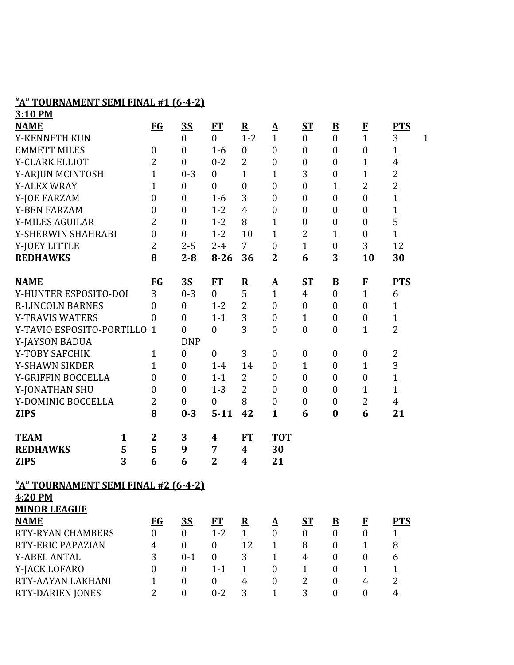## **"A" TOURNAMENT SEMI FINAL #1 (6-4-2)**

| 3:10 PM                              |   |                  |                  |                         |                         |                            |                  |                          |                  |                |              |
|--------------------------------------|---|------------------|------------------|-------------------------|-------------------------|----------------------------|------------------|--------------------------|------------------|----------------|--------------|
| <b>NAME</b>                          |   | $FG$             | <u>35</u>        | <b>FT</b>               | ${\bf R}$               | ${\underline{\mathbf{A}}}$ | <b>ST</b>        | $\underline{\mathbf{B}}$ | $\bf{F}$         | <b>PTS</b>     |              |
| Y-KENNETH KUN                        |   |                  | $\boldsymbol{0}$ | $\boldsymbol{0}$        | $1 - 2$                 | $\mathbf{1}$               | $\boldsymbol{0}$ | $\boldsymbol{0}$         | $\overline{1}$   | 3              | $\mathbf{1}$ |
| <b>EMMETT MILES</b>                  |   | $\boldsymbol{0}$ | $\boldsymbol{0}$ | $1 - 6$                 | $\boldsymbol{0}$        | $\boldsymbol{0}$           | $\boldsymbol{0}$ | $\boldsymbol{0}$         | $\boldsymbol{0}$ | $\mathbf{1}$   |              |
| Y-CLARK ELLIOT                       |   | $\overline{2}$   | $\boldsymbol{0}$ | $0 - 2$                 | 2                       | $\boldsymbol{0}$           | $\boldsymbol{0}$ | $\boldsymbol{0}$         | $\mathbf{1}$     | 4              |              |
| Y-ARJUN MCINTOSH                     |   | $\mathbf{1}$     | $0 - 3$          | $\boldsymbol{0}$        | $\mathbf{1}$            | $\mathbf{1}$               | 3                | $\boldsymbol{0}$         | $\mathbf{1}$     | $\overline{2}$ |              |
| <b>Y-ALEX WRAY</b>                   |   | 1                | $\boldsymbol{0}$ | $\boldsymbol{0}$        | $\boldsymbol{0}$        | $\boldsymbol{0}$           | $\boldsymbol{0}$ | $\mathbf{1}$             | $\overline{2}$   | $\overline{2}$ |              |
| Y-JOE FARZAM                         |   | $\overline{0}$   | $\mathbf{0}$     | $1-6$                   | 3                       | $\boldsymbol{0}$           | $\boldsymbol{0}$ | $\overline{0}$           | $\boldsymbol{0}$ | $\mathbf{1}$   |              |
| <b>Y-BEN FARZAM</b>                  |   | $\boldsymbol{0}$ | $\boldsymbol{0}$ | $1 - 2$                 | $\overline{4}$          | $\boldsymbol{0}$           | $\boldsymbol{0}$ | $\boldsymbol{0}$         | $\boldsymbol{0}$ | $\mathbf{1}$   |              |
| <b>Y-MILES AGUILAR</b>               |   | 2                | $\mathbf{0}$     | $1 - 2$                 | 8                       | $\mathbf{1}$               | $\boldsymbol{0}$ | $\boldsymbol{0}$         | $\boldsymbol{0}$ | 5              |              |
| Y-SHERWIN SHAHRABI                   |   | $\boldsymbol{0}$ | $\mathbf{0}$     | $1 - 2$                 | 10                      | $\mathbf{1}$               | 2                | $\mathbf{1}$             | $\boldsymbol{0}$ | $\mathbf{1}$   |              |
| Y-JOEY LITTLE                        |   | $\overline{2}$   | $2 - 5$          | $2 - 4$                 | $\overline{7}$          | $\boldsymbol{0}$           | $\mathbf{1}$     | $\boldsymbol{0}$         | 3                | 12             |              |
| <b>REDHAWKS</b>                      |   | 8                | $2 - 8$          | $8 - 26$                | 36                      | $\overline{2}$             | 6                | 3                        | 10               | 30             |              |
| <b>NAME</b>                          |   | $FG$             | 3S               | <u>FT</u>               | $\overline{\mathbf{R}}$ | <u>A</u>                   | <u>ST</u>        | $\underline{\mathbf{B}}$ |                  | <b>PTS</b>     |              |
| Y-HUNTER ESPOSITO-DOI                |   | 3                | $0 - 3$          | $\overline{0}$          | 5                       | $\mathbf{1}$               | 4                | $\overline{0}$           | $\frac{F}{1}$    | 6              |              |
| <b>R-LINCOLN BARNES</b>              |   | $\overline{0}$   | $\boldsymbol{0}$ | $1 - 2$                 | $\overline{2}$          | $\boldsymbol{0}$           | $\boldsymbol{0}$ | $\boldsymbol{0}$         | $\boldsymbol{0}$ | $\mathbf{1}$   |              |
| <b>Y-TRAVIS WATERS</b>               |   | $\theta$         | $\mathbf{0}$     | $1 - 1$                 | 3                       | $\mathbf{0}$               | $\mathbf{1}$     | $\mathbf{0}$             | $\boldsymbol{0}$ | $\mathbf{1}$   |              |
| Y-TAVIO ESPOSITO-PORTILLO            |   | $\mathbf{1}$     | $\mathbf{0}$     | $\boldsymbol{0}$        | 3                       | $\boldsymbol{0}$           | $\boldsymbol{0}$ | $\boldsymbol{0}$         | $\overline{1}$   | $\overline{2}$ |              |
| Y-JAYSON BADUA                       |   |                  | <b>DNP</b>       |                         |                         |                            |                  |                          |                  |                |              |
| Y-TOBY SAFCHIK                       |   | 1                | $\boldsymbol{0}$ | $\boldsymbol{0}$        | 3                       | $\boldsymbol{0}$           | $\boldsymbol{0}$ | $\boldsymbol{0}$         | $\boldsymbol{0}$ | $\overline{2}$ |              |
| Y-SHAWN SIKDER                       |   | $\mathbf{1}$     | $\boldsymbol{0}$ | $1 - 4$                 | 14                      | $\boldsymbol{0}$           | $\mathbf{1}$     | $\boldsymbol{0}$         | $\mathbf{1}$     | 3              |              |
| Y-GRIFFIN BOCCELLA                   |   | $\boldsymbol{0}$ | $\boldsymbol{0}$ | $1 - 1$                 | $\overline{2}$          | $\mathbf{0}$               | $\boldsymbol{0}$ | $\boldsymbol{0}$         | $\boldsymbol{0}$ | $\mathbf{1}$   |              |
| Y-JONATHAN SHU                       |   | $\boldsymbol{0}$ | $\boldsymbol{0}$ | $1 - 3$                 | 2                       | $\mathbf{0}$               | $\boldsymbol{0}$ | $\overline{0}$           | $\mathbf{1}$     | $\mathbf{1}$   |              |
| Y-DOMINIC BOCCELLA                   |   | $\overline{2}$   | $\boldsymbol{0}$ | $\boldsymbol{0}$        | 8                       | $\boldsymbol{0}$           | $\boldsymbol{0}$ | $\boldsymbol{0}$         | $\overline{2}$   | 4              |              |
| <b>ZIPS</b>                          |   | 8                | $0 - 3$          | $5 - 11$                | 42                      | $\mathbf{1}$               | 6                | $\bf{0}$                 | 6                | 21             |              |
| <b>TEAM</b>                          | 1 | $\overline{2}$   | $\overline{3}$   | $\overline{\mathbf{4}}$ | FT                      | <b>TOT</b>                 |                  |                          |                  |                |              |
| <b>REDHAWKS</b>                      | 5 | 5                | 9                | $\overline{7}$          | 4                       | 30                         |                  |                          |                  |                |              |
| <b>ZIPS</b>                          | 3 | 6                | 6                | $\overline{2}$          | $\boldsymbol{4}$        | 21                         |                  |                          |                  |                |              |
| "A" TOURNAMENT SEMI FINAL #2 (6-4-2) |   |                  |                  |                         |                         |                            |                  |                          |                  |                |              |
| 4:20 PM                              |   |                  |                  |                         |                         |                            |                  |                          |                  |                |              |
| <b>MINOR LEAGUE</b>                  |   |                  |                  |                         |                         |                            |                  |                          |                  |                |              |
| <b>NAME</b>                          |   | $FG$             | <u>3S</u>        | FT                      | $\mathbf{R}$            | <u>A</u>                   | <u>ST</u>        | $\overline{\mathbf{B}}$  | $\mathbf{F}$     | <b>PTS</b>     |              |
| <b>RTY-RYAN CHAMBERS</b>             |   | $\overline{0}$   | $\overline{0}$   | $1 - 2$                 | $\mathbf{1}$            | $\boldsymbol{0}$           | $\overline{0}$   | $\boldsymbol{0}$         | $\boldsymbol{0}$ | 1              |              |
| RTY-ERIC PAPAZIAN                    |   | 4                | $\overline{0}$   | $\boldsymbol{0}$        | 12                      | $\mathbf{1}$               | 8                | $\overline{0}$           | $\mathbf{1}$     | 8              |              |
| <b>Y-ABEL ANTAL</b>                  |   | 3                | $0 - 1$          | $\boldsymbol{0}$        | 3                       | $\mathbf{1}$               | $\overline{4}$   | $\boldsymbol{0}$         | $\boldsymbol{0}$ | 6              |              |
| Y-JACK LOFARO                        |   | $\overline{0}$   | $\mathbf{0}$     | $1 - 1$                 | $\mathbf{1}$            | $\boldsymbol{0}$           | $\mathbf{1}$     | $\overline{0}$           | $\mathbf{1}$     | $\mathbf{1}$   |              |
| RTY-AAYAN LAKHANI                    |   | $\mathbf{1}$     | $\mathbf{0}$     | $\boldsymbol{0}$        | 4                       | $\mathbf{0}$               | $\overline{2}$   | $\overline{0}$           | $\overline{4}$   | $\overline{2}$ |              |
| <b>RTY-DARIEN JONES</b>              |   | $\overline{2}$   | $\boldsymbol{0}$ | $0 - 2$                 | 3                       | $\mathbf{1}$               | 3                | $\boldsymbol{0}$         | $\boldsymbol{0}$ | $\overline{4}$ |              |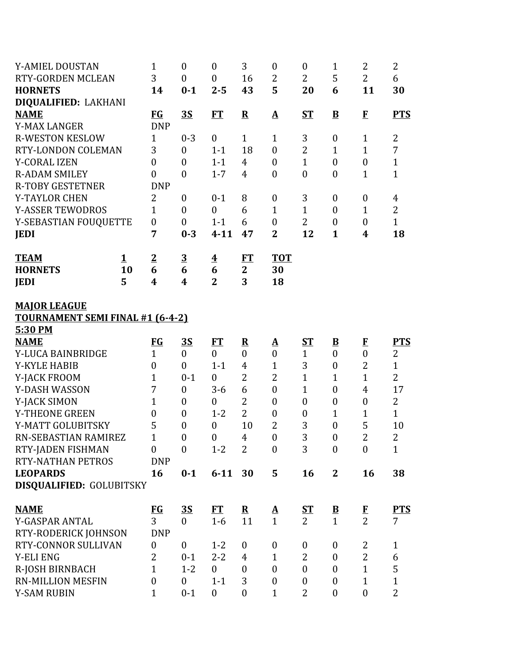| Y-AMIEL DOUSTAN                         | 1                                  | $\boldsymbol{0}$            | $\boldsymbol{0}$        | 3                     | $\boldsymbol{0}$                     | $\boldsymbol{0}$                     | $\mathbf 1$                          | 2                                | 2                 |
|-----------------------------------------|------------------------------------|-----------------------------|-------------------------|-----------------------|--------------------------------------|--------------------------------------|--------------------------------------|----------------------------------|-------------------|
| <b>RTY-GORDEN MCLEAN</b>                | 3                                  | $\boldsymbol{0}$            | $\boldsymbol{0}$        | 16                    | $\overline{2}$                       | $\overline{2}$                       | 5                                    | $\overline{2}$                   | 6                 |
| <b>HORNETS</b>                          | 14                                 | $0 - 1$                     | $2 - 5$                 | 43                    | 5                                    | 20                                   | 6                                    | 11                               | 30                |
| DIQUALIFIED: LAKHANI                    |                                    |                             |                         |                       |                                      |                                      |                                      |                                  |                   |
| <b>NAME</b>                             | <b>FG</b>                          | <u>3S</u>                   | <b>FT</b>               | ${\bf R}$             | $\mathbf A$                          | $S_{\rm T}$                          | $\bf{B}$                             | $\mathbf{F}$                     | <b>PTS</b>        |
| <b>Y-MAX LANGER</b>                     | <b>DNP</b>                         |                             |                         |                       |                                      |                                      |                                      |                                  |                   |
| <b>R-WESTON KESLOW</b>                  | $\mathbf{1}$                       | $0 - 3$                     | $\mathbf{0}$            | $\mathbf{1}$          | $\mathbf{1}$                         | 3                                    | $\boldsymbol{0}$                     | $\mathbf{1}$                     | $\overline{2}$    |
| <b>RTY-LONDON COLEMAN</b>               | 3                                  | $\boldsymbol{0}$            | $1 - 1$                 | 18                    | $\boldsymbol{0}$                     | $\overline{2}$                       | 1                                    | $\mathbf{1}$                     | 7                 |
| Y-CORAL IZEN                            | $\overline{0}$                     | $\overline{0}$              | $1 - 1$                 | $\overline{4}$        | $\mathbf{0}$                         | $\mathbf{1}$                         | $\overline{0}$                       | $\boldsymbol{0}$                 | $\mathbf{1}$      |
| <b>R-ADAM SMILEY</b>                    | $\overline{0}$                     | $\overline{0}$              | $1 - 7$                 | $\overline{4}$        | $\boldsymbol{0}$                     | $\boldsymbol{0}$                     | $\boldsymbol{0}$                     | $\mathbf{1}$                     | $\mathbf{1}$      |
| <b>R-TOBY GESTETNER</b>                 | <b>DNP</b>                         |                             |                         |                       |                                      |                                      |                                      |                                  |                   |
| <b>Y-TAYLOR CHEN</b>                    | $\overline{2}$                     | $\boldsymbol{0}$            | $0 - 1$                 | 8                     | $\boldsymbol{0}$                     | 3                                    | $\boldsymbol{0}$                     | $\boldsymbol{0}$                 | 4                 |
| <b>Y-ASSER TEWODROS</b>                 | $\mathbf{1}$                       | $\overline{0}$              | $\overline{0}$          | 6                     | $\mathbf{1}$                         | $\mathbf{1}$                         | $\theta$                             | $\mathbf{1}$                     | $\overline{2}$    |
| Y-SEBASTIAN FOUQUETTE                   | $\boldsymbol{0}$                   | $\boldsymbol{0}$            | $1 - 1$                 | 6                     | $\boldsymbol{0}$                     | $\overline{2}$                       | $\boldsymbol{0}$                     | $\overline{0}$                   | $\mathbf{1}$      |
| <b>JEDI</b>                             | 7                                  | $0 - 3$                     | $4 - 11$                | 47                    | $\overline{2}$                       | 12                                   | $\mathbf{1}$                         | $\boldsymbol{4}$                 | 18                |
| <b>TEAM</b><br>$\mathbf 1$              | $\overline{2}$                     | $\overline{3}$              | $\overline{\mathbf{4}}$ | FT                    | <b>TOT</b>                           |                                      |                                      |                                  |                   |
| <b>HORNETS</b><br>10                    | 6                                  | 6                           | 6                       | $\mathbf{2}$          | 30                                   |                                      |                                      |                                  |                   |
| 5<br><b>JEDI</b>                        | $\boldsymbol{4}$                   | 4                           | $\overline{2}$          | 3                     | 18                                   |                                      |                                      |                                  |                   |
|                                         |                                    |                             |                         |                       |                                      |                                      |                                      |                                  |                   |
| <b>MAJOR LEAGUE</b>                     |                                    |                             |                         |                       |                                      |                                      |                                      |                                  |                   |
| <b>TOURNAMENT SEMI FINAL #1 (6-4-2)</b> |                                    |                             |                         |                       |                                      |                                      |                                      |                                  |                   |
| 5:30 PM                                 |                                    |                             |                         |                       |                                      |                                      |                                      |                                  |                   |
| <b>NAME</b>                             | $FG$                               | <u>3S</u>                   | FT                      | ${\bf R}$             | <u>A</u>                             | <u>ST</u>                            | $\overline{\mathbf{B}}$              | $\mathbf{F}$                     | <b>PTS</b>        |
| Y-LUCA BAINBRIDGE                       | $\mathbf{1}$                       | $\boldsymbol{0}$            | $\mathbf{0}$            | $\overline{0}$        | $\overline{0}$                       | $\mathbf{1}$                         | $\overline{0}$                       | $\overline{0}$                   | 2                 |
| <b>Y-KYLE HABIB</b>                     | $\boldsymbol{0}$                   | $\overline{0}$              | $1 - 1$                 | $\overline{4}$        | $\mathbf{1}$                         | 3                                    | $\boldsymbol{0}$                     | $\overline{2}$                   | $\mathbf{1}$      |
| Y-JACK FROOM                            | $\mathbf{1}$                       | $0 - 1$                     | $\mathbf{0}$            | $\overline{2}$        | $\overline{2}$                       | $\mathbf{1}$                         | $\mathbf{1}$                         | $\overline{1}$                   | $\overline{2}$    |
| Y-DASH WASSON                           | 7                                  | $\boldsymbol{0}$            | $3-6$                   | 6                     | $\boldsymbol{0}$                     | $\mathbf{1}$                         | $\boldsymbol{0}$                     | $\overline{4}$                   | 17                |
| Y-JACK SIMON                            | $\mathbf{1}$                       | $\boldsymbol{0}$            | $\boldsymbol{0}$        | $\overline{2}$        | $\boldsymbol{0}$                     | $\boldsymbol{0}$                     | $\boldsymbol{0}$                     | $\boldsymbol{0}$                 | $\overline{2}$    |
| Y-THEONE GREEN                          | $\boldsymbol{0}$                   | $\boldsymbol{0}$            | $1 - 2$                 | $\overline{2}$        | $\boldsymbol{0}$                     | $\boldsymbol{0}$                     | $\mathbf{1}$                         | $\mathbf 1$                      | $\mathbf{1}$      |
| Y-MATT GOLUBITSKY                       | 5                                  | $\boldsymbol{0}$            | $\boldsymbol{0}$        | 10                    | $\overline{2}$                       | 3                                    | $\boldsymbol{0}$                     | 5                                | 10                |
| RN-SEBASTIAN RAMIREZ                    | $\mathbf{1}$                       | $\boldsymbol{0}$            | $\boldsymbol{0}$        | $\overline{4}$        | $\boldsymbol{0}$                     | 3                                    | $\boldsymbol{0}$                     | $\overline{2}$                   | $\overline{2}$    |
| RTY-JADEN FISHMAN                       | 0                                  | $\overline{0}$              | $1 - 2$                 | $\overline{2}$        | $\mathbf{0}$                         | 3                                    | $\boldsymbol{0}$                     | $\mathbf{0}$                     | $\mathbf{1}$      |
| RTY-NATHAN PETROS                       | <b>DNP</b>                         |                             |                         |                       |                                      |                                      |                                      |                                  |                   |
| <b>LEOPARDS</b>                         | 16                                 | $0 - 1$                     | $6 - 11$                | 30                    | 5                                    | 16                                   | $\mathbf{2}$                         | 16                               | 38                |
| DISQUALIFIED: GOLUBITSKY                |                                    |                             |                         |                       |                                      |                                      |                                      |                                  |                   |
|                                         |                                    |                             |                         |                       |                                      |                                      |                                      |                                  |                   |
|                                         |                                    |                             |                         |                       |                                      |                                      |                                      |                                  |                   |
| <b>NAME</b>                             | $\underline{\mathbf{F}\mathbf{G}}$ | <u>3S</u>                   | FT                      | $\mathbf{R}$          | $\mathbf{\Delta}$                    | <u>ST</u>                            | $\overline{\mathbf{B}}$              |                                  | <u>PTS</u>        |
| Y-GASPAR ANTAL                          | 3                                  | $\boldsymbol{0}$            | $1-6$                   | 11                    | $\mathbf{1}$                         | $\overline{2}$                       | $\mathbf{1}$                         | $\frac{F}{2}$                    | 7                 |
| RTY-RODERICK JOHNSON                    | <b>DNP</b>                         |                             |                         |                       |                                      |                                      |                                      |                                  |                   |
| RTY-CONNOR SULLIVAN                     | $\boldsymbol{0}$                   | $\boldsymbol{0}$            | $1 - 2$                 | $\boldsymbol{0}$      | $\boldsymbol{0}$                     | $\boldsymbol{0}$                     | $\boldsymbol{0}$                     | 2                                | 1                 |
| <b>Y-ELI ENG</b>                        | $\overline{2}$                     | $0 - 1$                     | $2 - 2$<br>$\mathbf{0}$ | 4<br>$\boldsymbol{0}$ | $\mathbf{1}$                         | $\overline{2}$                       | $\boldsymbol{0}$<br>$\boldsymbol{0}$ | $\overline{2}$<br>$\overline{1}$ | 6                 |
| R-JOSH BIRNBACH<br>RN-MILLION MESFIN    | $\mathbf{1}$<br>$\boldsymbol{0}$   | $1 - 2$<br>$\boldsymbol{0}$ | $1 - 1$                 | 3                     | $\boldsymbol{0}$<br>$\boldsymbol{0}$ | $\boldsymbol{0}$<br>$\boldsymbol{0}$ | $\boldsymbol{0}$                     | $\mathbf{1}$                     | 5<br>$\mathbf{1}$ |